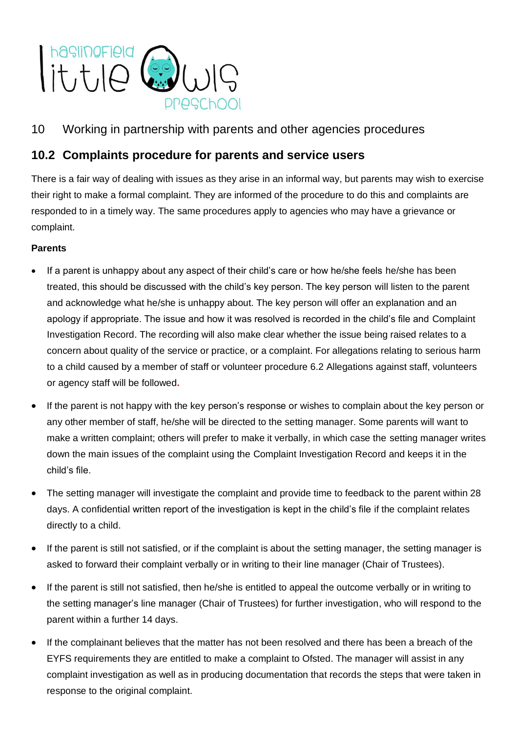

# 10 Working in partnership with parents and other agencies procedures

## **10.2 Complaints procedure for parents and service users**

There is a fair way of dealing with issues as they arise in an informal way, but parents may wish to exercise their right to make a formal complaint. They are informed of the procedure to do this and complaints are responded to in a timely way. The same procedures apply to agencies who may have a grievance or complaint.

### **Parents**

- If a parent is unhappy about any aspect of their child's care or how he/she feels he/she has been treated, this should be discussed with the child's key person. The key person will listen to the parent and acknowledge what he/she is unhappy about. The key person will offer an explanation and an apology if appropriate. The issue and how it was resolved is recorded in the child's file and Complaint Investigation Record. The recording will also make clear whether the issue being raised relates to a concern about quality of the service or practice, or a complaint. For allegations relating to serious harm to a child caused by a member of staff or volunteer procedure 6.2 Allegations against staff, volunteers or agency staff will be followed**.**
- If the parent is not happy with the key person's response or wishes to complain about the key person or any other member of staff, he/she will be directed to the setting manager. Some parents will want to make a written complaint; others will prefer to make it verbally, in which case the setting manager writes down the main issues of the complaint using the Complaint Investigation Record and keeps it in the child's file.
- The setting manager will investigate the complaint and provide time to feedback to the parent within 28 days. A confidential written report of the investigation is kept in the child's file if the complaint relates directly to a child.
- If the parent is still not satisfied, or if the complaint is about the setting manager, the setting manager is asked to forward their complaint verbally or in writing to their line manager (Chair of Trustees).
- If the parent is still not satisfied, then he/she is entitled to appeal the outcome verbally or in writing to the setting manager's line manager (Chair of Trustees) for further investigation, who will respond to the parent within a further 14 days.
- If the complainant believes that the matter has not been resolved and there has been a breach of the EYFS requirements they are entitled to make a complaint to Ofsted. The manager will assist in any complaint investigation as well as in producing documentation that records the steps that were taken in response to the original complaint.